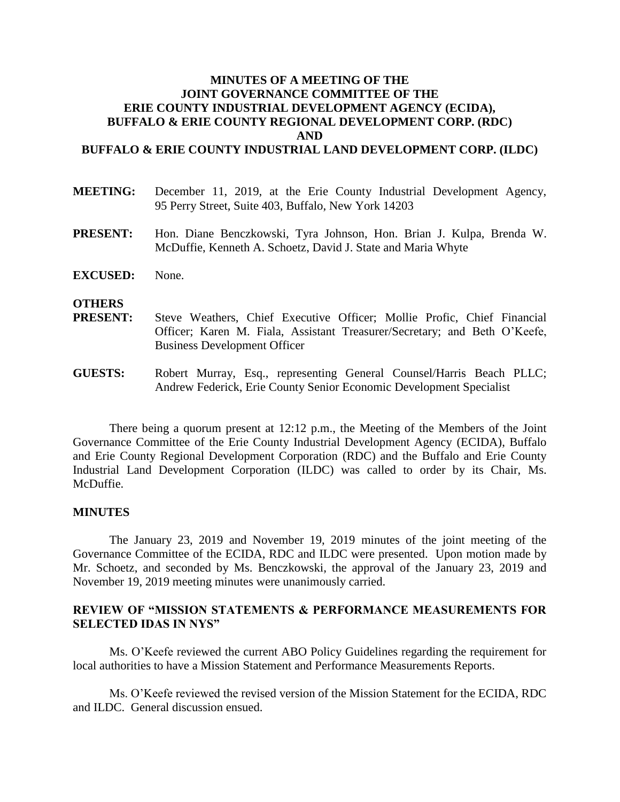# **MINUTES OF A MEETING OF THE JOINT GOVERNANCE COMMITTEE OF THE ERIE COUNTY INDUSTRIAL DEVELOPMENT AGENCY (ECIDA), BUFFALO & ERIE COUNTY REGIONAL DEVELOPMENT CORP. (RDC) AND**

### **BUFFALO & ERIE COUNTY INDUSTRIAL LAND DEVELOPMENT CORP. (ILDC)**

- **MEETING:** December 11, 2019, at the Erie County Industrial Development Agency, 95 Perry Street, Suite 403, Buffalo, New York 14203
- **PRESENT:** Hon. Diane Benczkowski, Tyra Johnson, Hon. Brian J. Kulpa, Brenda W. McDuffie, Kenneth A. Schoetz, David J. State and Maria Whyte
- **EXCUSED:** None.

#### **OTHERS**

- **PRESENT:** Steve Weathers, Chief Executive Officer; Mollie Profic, Chief Financial Officer; Karen M. Fiala, Assistant Treasurer/Secretary; and Beth O'Keefe, Business Development Officer
- **GUESTS:** Robert Murray, Esq., representing General Counsel/Harris Beach PLLC; Andrew Federick, Erie County Senior Economic Development Specialist

There being a quorum present at 12:12 p.m., the Meeting of the Members of the Joint Governance Committee of the Erie County Industrial Development Agency (ECIDA), Buffalo and Erie County Regional Development Corporation (RDC) and the Buffalo and Erie County Industrial Land Development Corporation (ILDC) was called to order by its Chair, Ms. McDuffie.

#### **MINUTES**

The January 23, 2019 and November 19, 2019 minutes of the joint meeting of the Governance Committee of the ECIDA, RDC and ILDC were presented. Upon motion made by Mr. Schoetz, and seconded by Ms. Benczkowski, the approval of the January 23, 2019 and November 19, 2019 meeting minutes were unanimously carried.

## **REVIEW OF "MISSION STATEMENTS & PERFORMANCE MEASUREMENTS FOR SELECTED IDAS IN NYS"**

Ms. O'Keefe reviewed the current ABO Policy Guidelines regarding the requirement for local authorities to have a Mission Statement and Performance Measurements Reports.

Ms. O'Keefe reviewed the revised version of the Mission Statement for the ECIDA, RDC and ILDC. General discussion ensued.